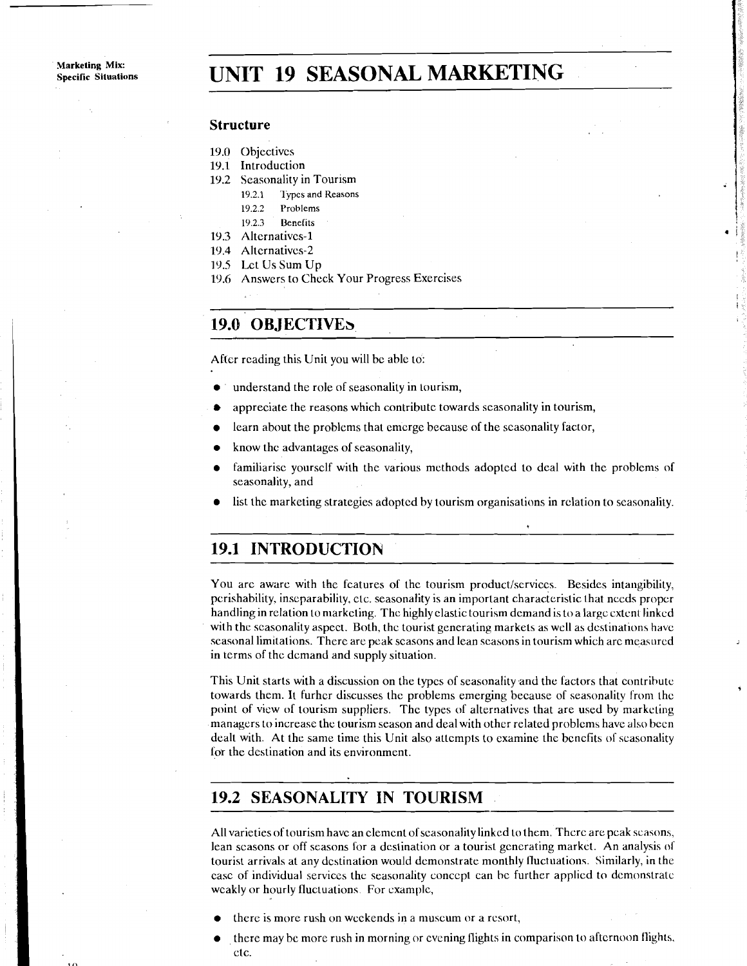# **UNIT 19 SEASONAL MARKETING**

#### **Structure**

- 19.0 Objectives
- 19.1 Introduction
- 19.2 Seasonality in Tourism
	- 19.2.1 Types and Reasons
	- **19.2.2 Problems**
	- **19.2.3 Uenelits**
- **19.3** Alternatives-1
- **29.4** Altcrnativcs-2
- **19.5** Lct Us Sum Up
- **29.6** Answers to Check Your Progress Exercises

# 19.0 OBJECTIVES

After reading this Unit you will be able to:

- understand the role of seasonality in tourism,
- $\bullet$ appreciate the reasons which contribute towards seasonality in tourism,
- learn about the problems that cmcrgc because of the scasonality factor,  $\bullet$
- know thc advantages of seasonality,
- familiarise yourself with the various methods adopted to deal with the problems of seasonality, and
- list thc marketing strategies adopted by tourism organisations in rclation to scasonality.

### **19.1 INTRODUCTION**

You arc aware with the features of the tourism product/scrviccs. Besides intangibility, perishability. inseparability. ctc. seasonality is an important characteristic that nccds proper handling in relation to markcling. The highly elastic tourism dcmand is to a largc extent linkcd with the scasonality aspect. Both, the tourist generating markets as well as destinations have seasonal limitations. There are peak scasons and lean scasons in tourism which are measured in terms of the dcmand and supply situation.

This Unit starts with a discussion on the types of seasonality and the factors that contribute towards them. It furhcr discusses the problems emerging because of seawnality from the point of view of tourism suppliers. The types of alternatives that are used by marketing managers to increasc the tourism season and deal with other related problcms have also been dealt with. At the same time this Unit also attempts to examine the bcncfits of scasonality for the destination and its environment.

# **19.2 SEASONALITY IN TOURISM**

All varieties of tourism have an clement of scasonality linkcd to them. There are peak seasons, lean scasons or off seasons for a destination or a tourist generating market. An analysis of tourist arrivals at any destination would demonstrate monthly lluctuation~. Similarly, in the case of individual services the seasonality concept can he further applied to dcmonstratc weakly or hourly fluctuations. For example,

- there is more rush on weekends in a museum or a resort,
- , there may be more rush in morning or cvening flights in comparison to afternoon flights, ctc.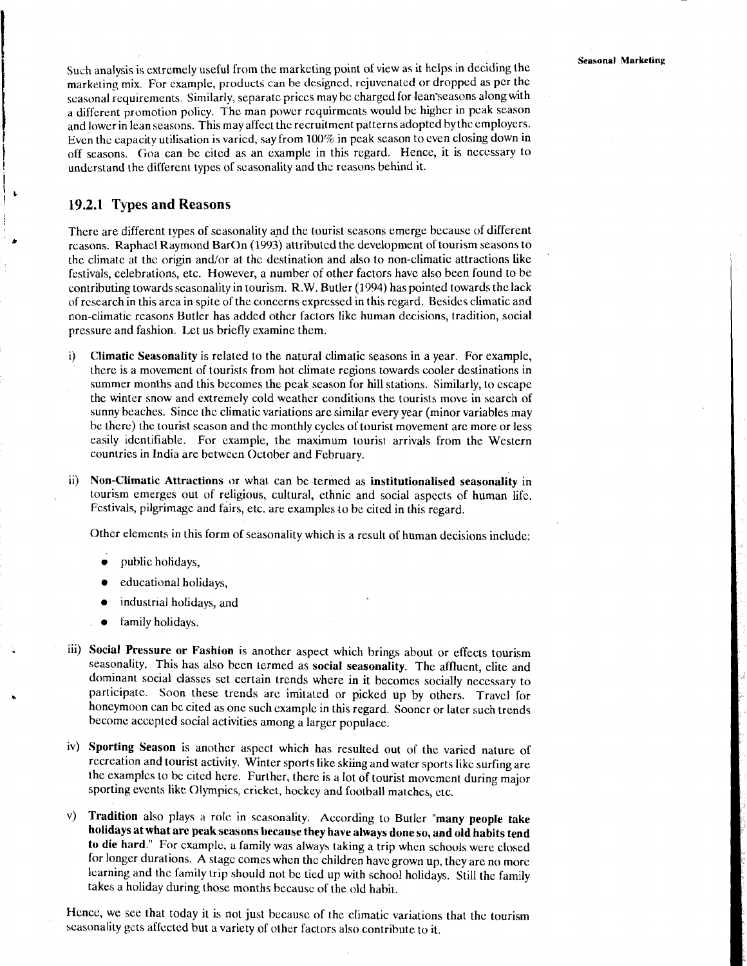Such analysis is extremely useful from the marketing point of view as it helps in deciding the marketing mix. For example, products can be designed, rejuvenated or dropped as pcr thc seasonal requirements. Similarly, separatc prices may be charged for lean'scasons along with a different promotion policy. The man power requirmcnts would be higher in pcak season and lower in lean seasons. This may affect the recruitment patterns adopted by thc employers. Even the capacity utilisation is varicd, say from 100% in pcak season to even closing down in off seasons. Goa can bc cited as an example in this regard. Hence, it is necessary to understand the different types of scasonality and thc reasons behind it.

### **19.2.1 Types and Reasons**

There are different typcs of seasonality and the tourist scasons emerge bccausc of different rcasons. Raphael Raymond BarOn (1993) attributed the development of tourism seasons to the climate at the origin and/or at the destination and also to non-climatic attractions like festivals, celebrations, etc. However, a number of other factors havc also becn found to be contributing towards scasonality in tourism. **R.W.** Butler (1994) has pointed towards the lack of rcscarch in this area in spite of the conccrns expressed in this rcgard. Besides climatic and non-climatic reasons Butler has added other factors like human decisions, tradition, social pressure and fashion. Let us briefly examine them.

- i) **Climatic Seasonality** is related to the natural climatic seasons in a year. For example, there is a movement of tourists from hot climate regions towards cooler dcstinations in summer months and this becomes the peak season for hill stations. Similarly, to cscape the winter snow and extremely cold weather conditions the tourists move in search of sunny beaches. Since thc climatic variations arc similar every year (minor variables may be there) the tourist season and the monthly cycles of tourist movement arc more or less easily idcntifiable. For example, the maximum tourisr arrivals from the Western countries in India are betwcen October and February.
- ii) **Non-Climatic Attractions** or what can be termed as **institutionalised seasonality** in tourism emerges out of religious, cultural, ethnic and social aspccts of human lifc. Festivals, pilgrimage and fairs, etc. are examples lo be cited in this regard.

Othcr elements in this form of seasonality which is a result of human decisions include:

- public holidays,
- educational holidays,
- industrial holidays, and
- tamily holidays.
- iii) **Social Pressure or Fashion** is another aspect which brings about or effects tourism seasonality. This has also been termed as **social seasonality.** The affluent, elite and dominant social classes set certain trcnds where in it becomes socially necessary to participate. Soon these trends arc imitated or picked up by others. Travcl for honeymoon can bc cited as one such cxamplc in this regard. Sooncr or later such trends bccome accepted social activities among a larger populace.
- iv) **Sporting Season** is another aspect which has resulted out of the varied nature of recreation and tourist activity. Winter sports like skiing and water sports likc surfing are the examplcs to bc cited here. Further, there is a lot of tourist movcment during major sporting events like Olympics, crickct, hockey and football matches, ctc.
- v) **Tradition** also plays **a** rolc in seasonality. According to Butler **"many people take holidays at what are peak seasons because they have always done so, and old habits tend to die hard."** For cxamplc, a family was always taking a trip when schools were closed for longer durations. A stage comes when the children havc grown up, thcy are no more learning and thc family trip should not be tied up with school holidays. Still the family takes a holiday during those months bccausc of the old habit.

Hence, we see that today it is not just becausc of the climatic variations that the tourism seasonality gcts affccted but a variety of other factors also contribute to it.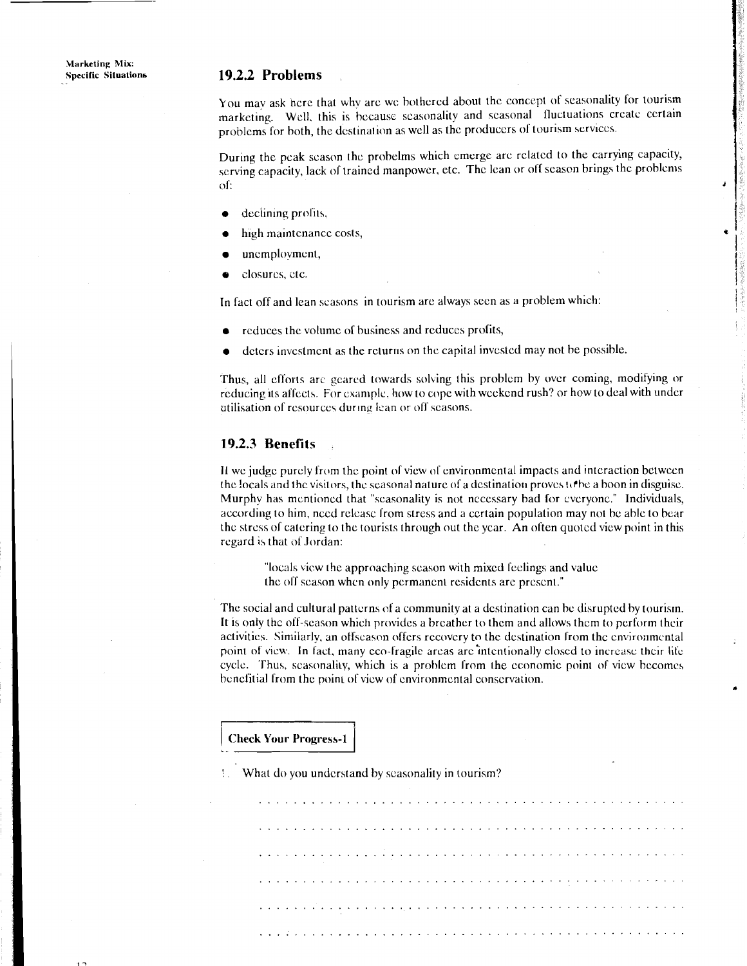### **Specific Situatianb 19.2.2 Problems**

**You** mav ask hcrc that why arc wc bothered about the concept of seasonality for tourism marketing. Wcll. this is bccause scasonality and seasonal lluctuations crcate certain problems for both, the destination as well as the producers of tourism services.

During the peak season the probelms which emerge are related to the carrying capacity, serving capacity, lack of trained manpower, etc. The lean or off season brings the problems of:

- declining profits.
- high maintenance costs,
- *8* uncmploymcnl,
- **e** closures, ~tc.

In fact off and lean scasons in tourism arc always seen as a problem which:

- reduces the volume of business and reduces profits,
- deters investment as the returns on the capital invested may not be possible.

Thus, all efforts are geared towards solving this problem by over coming, modifying or reducing its affects. For example, how to cope with weekend rush? or how to deal with under atilisation of resources during lean or off seasons.

### **19.2.3 Benefits** .

If we judge purcly from the point of view of environmental impacts and interaction between the locals and the visitors, the seasonal nature of a destination proves  $\alpha$  to a boon in disguise. Murphv has mcntioncd that "seasonality is not necessary bad for cvcryonc." Individuals, according to him, nccd rclcasc from strcss and a ccrtain population may not bc able to bear thc strcss of catering to the tourists through out the ycar. An often quoted vicw point in this regard is that of Jordan:

"locals vicw the approaching scason with mixed feelings and value thc off scason whcn only permanent residents arc prcscnt."

The social and cultural patterns of a community at a destination can be disrupted by tourism. It is oniy the oif-season which provides a breather to thcm and allows thcm to perform thcir activities. Similarly, an offscason offers recovery to the destination from the environmental point of view. In fact, many eco-fragile areas are intentionally closed to increase their life cycle. Thus, scasonality, which is a problem from the economic point of view becomes benefitial from the point of view of environmental conservation.

#### **Check Your Pragress-1** .

! What do you understand by seasonality in tourism?

2.2 Problems<br>
a maximization with the sine behicard about the concept of seasonality for tourism<br>
a maximization with the sine behicard show the anisotropic steamed in interaction colour certain<br>
behind to both, the desis ................................................ ................................................ ................................................ .............................................. ................................................ ................................................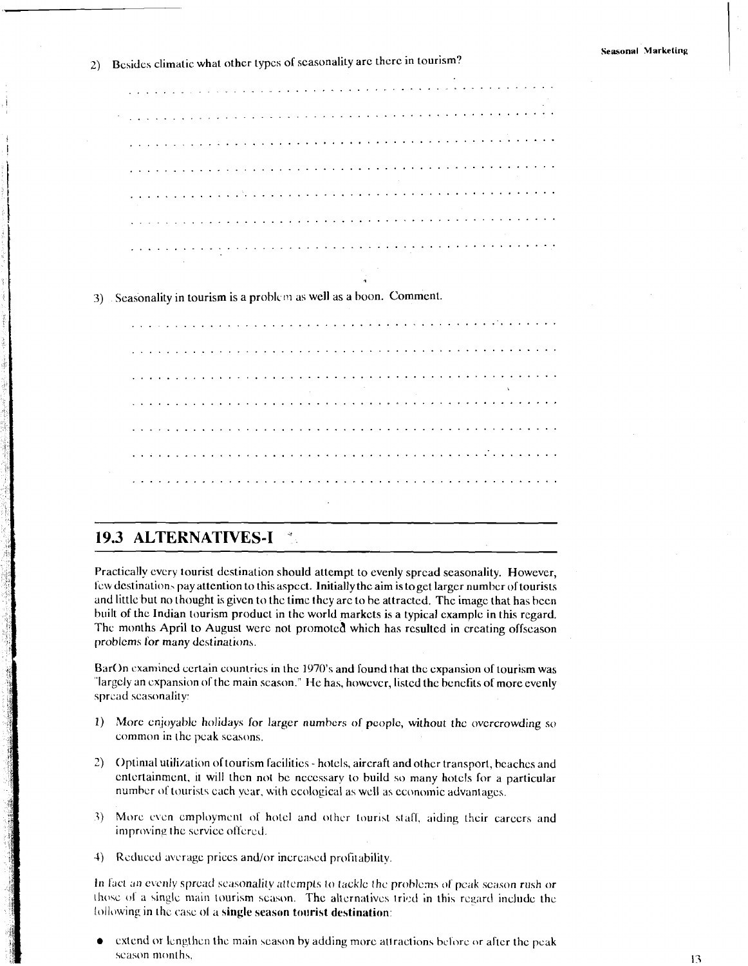2) Besides climatic what other types of seasonality are there in tourism?

|  |  |  |  |  |  |  |  |  |  |  |  |  |  |  |  |  |  |  |  |  |  | والمتحالة والمتحاج والمتحاج والمتحاج والمتحاج والمتحالة والمتحال والمتحال والمتحال والمتحال والمتحال والمتحالة |  |  |  |
|--|--|--|--|--|--|--|--|--|--|--|--|--|--|--|--|--|--|--|--|--|--|----------------------------------------------------------------------------------------------------------------|--|--|--|
|  |  |  |  |  |  |  |  |  |  |  |  |  |  |  |  |  |  |  |  |  |  |                                                                                                                |  |  |  |
|  |  |  |  |  |  |  |  |  |  |  |  |  |  |  |  |  |  |  |  |  |  |                                                                                                                |  |  |  |
|  |  |  |  |  |  |  |  |  |  |  |  |  |  |  |  |  |  |  |  |  |  |                                                                                                                |  |  |  |
|  |  |  |  |  |  |  |  |  |  |  |  |  |  |  |  |  |  |  |  |  |  |                                                                                                                |  |  |  |
|  |  |  |  |  |  |  |  |  |  |  |  |  |  |  |  |  |  |  |  |  |  |                                                                                                                |  |  |  |
|  |  |  |  |  |  |  |  |  |  |  |  |  |  |  |  |  |  |  |  |  |  |                                                                                                                |  |  |  |
|  |  |  |  |  |  |  |  |  |  |  |  |  |  |  |  |  |  |  |  |  |  |                                                                                                                |  |  |  |

3) Seasonality in tourism is a problem as well as a boon. Comment.

|  | المتحاج والمتحاج والمتحاج والمتحال والمتحاجية والمتحاج والمتحال والمتحال والمتحال والمتحال والمتحال والمتحال والمتحال والمتح |  |  |  |  |  |  |  |  |  |  |  |  |  |  |  |  |  |  |  |  |  |
|--|------------------------------------------------------------------------------------------------------------------------------|--|--|--|--|--|--|--|--|--|--|--|--|--|--|--|--|--|--|--|--|--|
|  |                                                                                                                              |  |  |  |  |  |  |  |  |  |  |  |  |  |  |  |  |  |  |  |  |  |
|  |                                                                                                                              |  |  |  |  |  |  |  |  |  |  |  |  |  |  |  |  |  |  |  |  |  |
|  |                                                                                                                              |  |  |  |  |  |  |  |  |  |  |  |  |  |  |  |  |  |  |  |  |  |
|  |                                                                                                                              |  |  |  |  |  |  |  |  |  |  |  |  |  |  |  |  |  |  |  |  |  |
|  |                                                                                                                              |  |  |  |  |  |  |  |  |  |  |  |  |  |  |  |  |  |  |  |  |  |
|  |                                                                                                                              |  |  |  |  |  |  |  |  |  |  |  |  |  |  |  |  |  |  |  |  |  |

### **19.3 ALTERNATIVES-I**

Practically every tourist destination should attempt to evenly spread seasonality. However, few destinations pay attention to this aspect. Initially the aim is to get larger number of tourists and little but no thought is given to the time they are to be attracted. The image that has been built of the Indian tourism product in the world markets is a typical example in this regard. The months April to August were not promoted which has resulted in creating offseason problems for many destinations.

BarOn examined certain countries in the 1970's and found that the expansion of tourism was "largely an expansion of the main season." He has, however, listed the benefits of more evenly spread seasonality:

- 1) More enjoyable holidays for larger numbers of people, without the overcrowding so common in the peak seasons.
- 2) Optimal utilization of tourism facilities hotels, aircraft and other transport, beaches and entertainment, it will then not be necessary to build so many hotels for a particular number of tourists each year, with ecological as well as economic advantages.
- 3) More even employment of hotel and other tourist staff, aiding their careers and improving the service offered.
- 4) Reduced average prices and/or increased profitability.

In fact an evenly spread seasonality attempts to tackle the problems of peak season rush or those of a single main tourism season. The alternatives tried in this regard include the following in the case of a single season tourist destination:

extend or lengthen the main season by adding more attractions before or after the peak season months,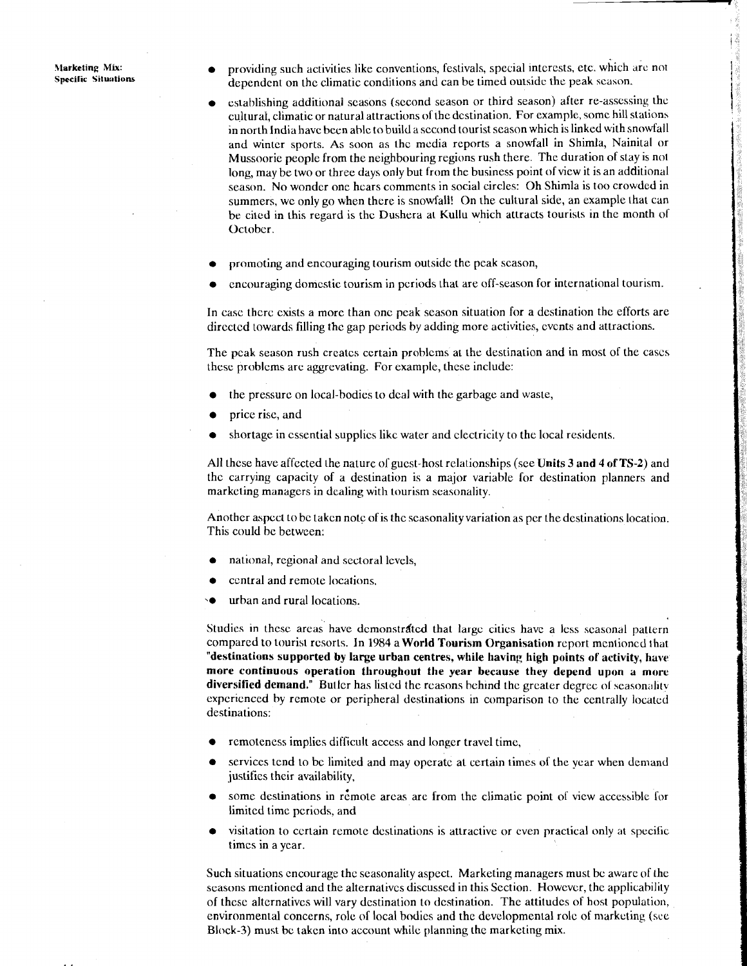**Marketing Mix:**<br>**Specific Situations** 

- providing such activities like conventions, festivals, special interests, etc. which are not dependent on the climatic conditions and can be timed outside the peak scason.
- establishing additional seasons (second season or third season) after re-assessing the cultural, climatic or natural attractions of the destination. For example, some hill stations in north India have been able to build a second tourist season which is linked with snowfall and winter sports. As soon as the mcdia reports a snowfall in Shimla, Nainital or Mussoorie people from the neighbouring regions rush there. The duration of stay is not long, may be two or three days only but from the business point of view it is an additional season. No wonder one hcars comments in social circles: Oh Shimla is too crowded in summers. we only go when there is snowfall! On the cultural side, an example that can be cited in this regard is the Dushera at Kullu which attracts tourists in the month of October.
- **a** promoting and encouraging tourism outside the peak scason,
- **a** encouraging domcstic tourism in pcriods that are off-season for international tourism.

In case thcrc exists a more than one peak season situation for a destination the efforts are directed towards filling the gap periods by adding more activities, events and attractions.

The peak season rush creates certain problems at the destination and in most of the cases these problems arc aggrevating. For example, these include:

- the pressurc on local-bodies to deal with the garbage and waste,
- **a** price rise, and
- shortage in essential supplies like water and electricity to the local residents.

All thcse have affected the naturc ol'gucst-host relationships (see **Units 3 and 4 of TS-2)** and the carrying capacity of a destination is a major variable lor destination planners and marketing managers in dcaling with tourism seasonality.

Another aspect to be taken notc of is the seasonality variation as per the destinations location. This could be between:

- **a** national, regional and sectoral levels,
- **a** central and remote locations.
- urban and rural locations.

Studies in thesc areas have dcmonstrdtcd that largc cities have a less seasonal patlern compared to tourist resort\. In 1984 a **World Tourism Organisation** report mentioned that **"destinations supported by large urban centres, while having high points of activity, have more continuous operation throughout the year because they depend upon a more**  diversified demand." Butler has listed the reasons behind the greater degree of seasonality experienced by remote or peripheral destinations in comparison to the centrally located destinations:

- remoteness implies diflicult access and longer travel time,
- services tend to bc limited and may operate at certain times of the year when demand justifies their availability,
- some destinations in remote areas are from the climatic point of view accessible for limited time periods, and
- visitation to certain remote destinations is attractive or cven practical only at specilic times in a year.

Such situations encourage the seasonality aspect. Marketing managers must be aware of the seasons mentioned and the alternatives discussed in this Section. Howcvcr, the applicability of these alternatives will vary destination to destination. The attitudes of host population, environmental concerns, role **of** local bodies and the developmental rolc of marketing (sce Block-3) must be takcn into account while planning the marketing mix.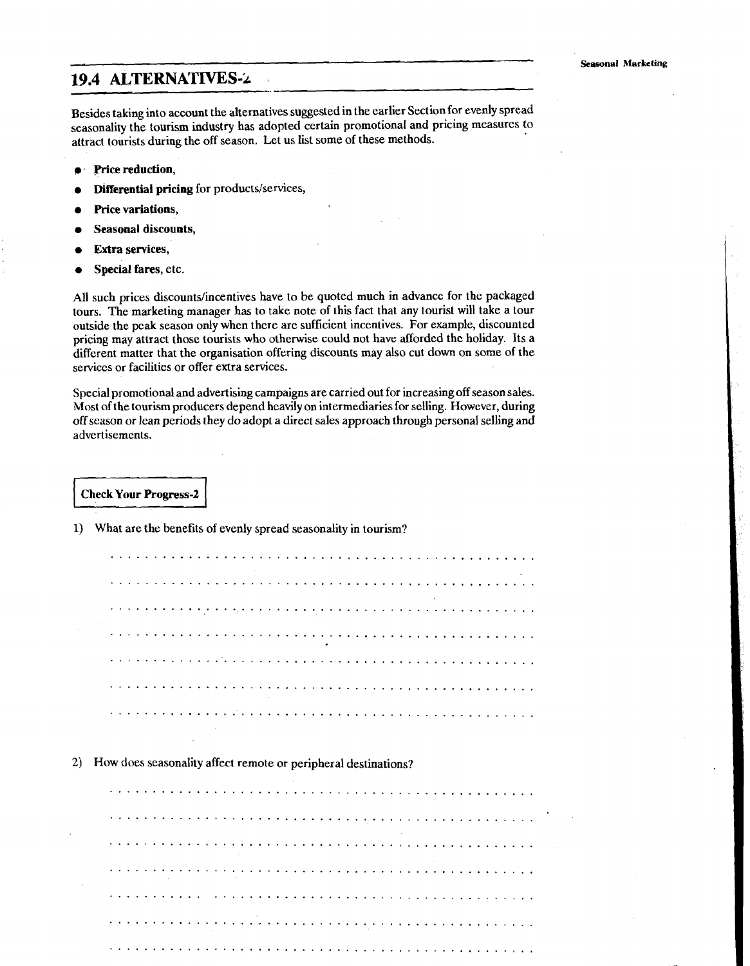### **19.4 ALTERNATIVES-2**

Besides taking into account the alternatives suggested in the earlier Section for evenly spread seasonality the tourism industry has adopted certain promotional and pricing measures to attract tourists during the off season. Let us list some of these methods.

- **e** Price reduction,
- Differential pricing for products/services,
- Price variations,
- Seasonal discounts,
- Extra services,
- Special fares, etc.

All such prices discounts/incentives have to be quoted much in advance for the packaged tours. The marketing manager has to take note of this fact that any tourist will take a tour outside the pcak season only when there are sufficient incentives. For example, discounted pricing may attract those tourists who otherwise could not have afforded the holiday. Its a different matter that the organisation offering discounts may also cut down on some of the serviccs or facilities or offer extra services.

Special promotional and advertising campaigns are carried out for increasing off season sales. Most of the tourism producers depend heavily on intermediaries for selling. However, during off season or lean periods they do adopt a direct sales approach through personal selling and advertisements.

**Check Your Progress-2** 

|                 | $\cdot$ $\cdot$ |  |  |  |  |  |        |  |  |                                                     |  |                        |  |  |  |                                                                                 |                                                                                                                                                                                                                                                       |  |  |  |  |  |  |  |        |  |
|-----------------|-----------------|--|--|--|--|--|--------|--|--|-----------------------------------------------------|--|------------------------|--|--|--|---------------------------------------------------------------------------------|-------------------------------------------------------------------------------------------------------------------------------------------------------------------------------------------------------------------------------------------------------|--|--|--|--|--|--|--|--------|--|
| $\bullet$       |                 |  |  |  |  |  |        |  |  |                                                     |  |                        |  |  |  |                                                                                 | $\mathcal{L}^{\mathcal{L}}(x)$ and $\mathcal{L}^{\mathcal{L}}(x)$ are the set of the set of the set of the set of the set of the set of the set of the set of the set of the set of the set of the set of the set of the set of the set of the set of |  |  |  |  |  |  |  | $\sim$ |  |
|                 |                 |  |  |  |  |  |        |  |  |                                                     |  |                        |  |  |  |                                                                                 |                                                                                                                                                                                                                                                       |  |  |  |  |  |  |  |        |  |
| $\sim$          |                 |  |  |  |  |  |        |  |  |                                                     |  |                        |  |  |  | the contract of the contract of the contract of the contract of the contract of |                                                                                                                                                                                                                                                       |  |  |  |  |  |  |  |        |  |
|                 |                 |  |  |  |  |  |        |  |  |                                                     |  |                        |  |  |  |                                                                                 |                                                                                                                                                                                                                                                       |  |  |  |  |  |  |  |        |  |
|                 |                 |  |  |  |  |  |        |  |  | the contract of the contract of the contract of the |  |                        |  |  |  |                                                                                 |                                                                                                                                                                                                                                                       |  |  |  |  |  |  |  |        |  |
| $\cdot$ $\cdot$ |                 |  |  |  |  |  | $\sim$ |  |  |                                                     |  | and the company of the |  |  |  |                                                                                 |                                                                                                                                                                                                                                                       |  |  |  |  |  |  |  |        |  |

2) How does seasonality affect remote or peripheral destinations?

1) What are the benefits of evenly spread seasonality in tourism?

and the state of the state of the